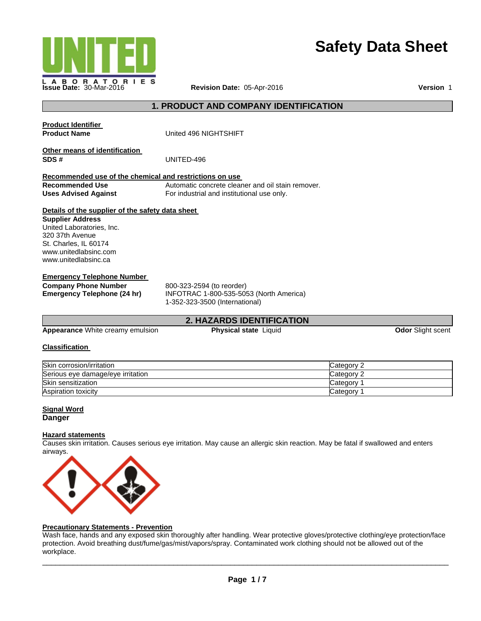

# **Safety Data Sheet**

# **1. PRODUCT AND COMPANY IDENTIFICATION**

| <b>Appearance</b> White creamy emulsion<br>$O(1 - 1.5)$                                                                                                                                               | <b>Physical state Liquid</b>                                                                           | Odor Slight scent |
|-------------------------------------------------------------------------------------------------------------------------------------------------------------------------------------------------------|--------------------------------------------------------------------------------------------------------|-------------------|
|                                                                                                                                                                                                       | <b>2. HAZARDS IDENTIFICATION</b>                                                                       |                   |
| <b>Emergency Telephone Number</b><br><b>Company Phone Number</b><br>Emergency Telephone (24 hr)                                                                                                       | 800-323-2594 (to reorder)<br>INFOTRAC 1-800-535-5053 (North America)<br>1-352-323-3500 (International) |                   |
| Details of the supplier of the safety data sheet<br><b>Supplier Address</b><br>United Laboratories, Inc.<br>320 37th Avenue<br>St. Charles, IL 60174<br>www.unitedlabsinc.com<br>www.unitedlabsinc.ca |                                                                                                        |                   |
| Recommended use of the chemical and restrictions on use<br><b>Recommended Use</b><br><b>Uses Advised Against</b>                                                                                      | Automatic concrete cleaner and oil stain remover.<br>For industrial and institutional use only.        |                   |
| Other means of identification<br>SDS#                                                                                                                                                                 | UNITED-496                                                                                             |                   |
| <b>Product Identifier</b><br><b>Product Name</b>                                                                                                                                                      | United 496 NIGHTSHIFT                                                                                  |                   |

#### **Classification**

| Skin corrosion/irritation         | Category 2 |
|-----------------------------------|------------|
| Serious eye damage/eye irritation | Category 2 |
| Skin sensitization                | Category   |
| <b>Aspiration toxicity</b>        | Category   |

### **Signal Word Danger**

# **Hazard statements**

Causes skin irritation. Causes serious eye irritation. May cause an allergic skin reaction. May be fatal if swallowed and enters airways.



#### **Precautionary Statements - Prevention**

Wash face, hands and any exposed skin thoroughly after handling. Wear protective gloves/protective clothing/eye protection/face protection. Avoid breathing dust/fume/gas/mist/vapors/spray. Contaminated work clothing should not be allowed out of the workplace.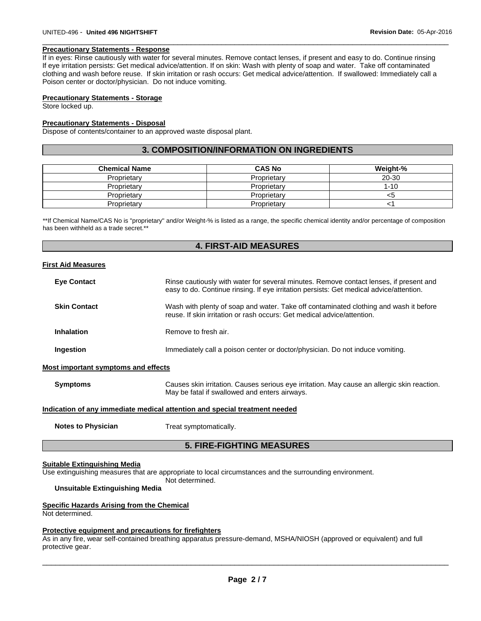#### **Precautionary Statements - Response**

If in eyes: Rinse cautiously with water for several minutes. Remove contact lenses, if present and easy to do. Continue rinsing If eye irritation persists: Get medical advice/attention. If on skin: Wash with plenty of soap and water. Take off contaminated clothing and wash before reuse. If skin irritation or rash occurs: Get medical advice/attention. If swallowed: Immediately call a Poison center or doctor/physician. Do not induce vomiting.

 $\Box$ 

#### **Precautionary Statements - Storage**

Store locked up.

#### **Precautionary Statements - Disposal**

Dispose of contents/container to an approved waste disposal plant.

#### **3. COMPOSITION/INFORMATION ON INGREDIENTS**

| <b>Chemical Name</b> | <b>CAS No</b> | Weight-% |
|----------------------|---------------|----------|
| Proprietary          | Proprietary   | 20-30    |
| Proprietary          | Proprietary   | $1 - 10$ |
| Proprietary          | Proprietary   | <5       |
| Proprietary          | Proprietary   |          |

\*\*If Chemical Name/CAS No is "proprietary" and/or Weight-% is listed as a range, the specific chemical identity and/or percentage of composition has been withheld as a trade secret.\*\*

#### **4. FIRST-AID MEASURES**

#### **First Aid Measures**

| <b>Eye Contact</b>                  | Rinse cautiously with water for several minutes. Remove contact lenses, if present and<br>easy to do. Continue rinsing. If eye irritation persists: Get medical advice/attention. |
|-------------------------------------|-----------------------------------------------------------------------------------------------------------------------------------------------------------------------------------|
| <b>Skin Contact</b>                 | Wash with plenty of soap and water. Take off contaminated clothing and wash it before<br>reuse. If skin irritation or rash occurs: Get medical advice/attention.                  |
| <b>Inhalation</b>                   | Remove to fresh air.                                                                                                                                                              |
| Ingestion                           | Immediately call a poison center or doctor/physician. Do not induce vomiting.                                                                                                     |
| Most important symptoms and effects |                                                                                                                                                                                   |
|                                     |                                                                                                                                                                                   |

**Symptoms** Causes skin irritation. Causes serious eye irritation. May cause an allergic skin reaction. May be fatal if swallowed and enters airways.

#### **Indication of any immediate medical attention and special treatment needed**

**Notes to Physician**  Treat symptomatically.

# **5. FIRE-FIGHTING MEASURES**

#### **Suitable Extinguishing Media**

Use extinguishing measures that are appropriate to local circumstances and the surrounding environment.

Not determined.

# **Unsuitable Extinguishing Media**

#### **Specific Hazards Arising from the Chemical**

Not determined.

#### **Protective equipment and precautions for firefighters**

As in any fire, wear self-contained breathing apparatus pressure-demand, MSHA/NIOSH (approved or equivalent) and full protective gear.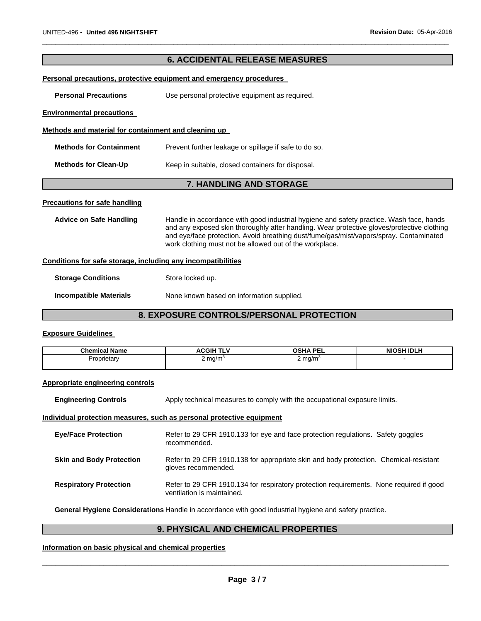# **6. ACCIDENTAL RELEASE MEASURES**

 $\Box$ 

#### **Personal precautions, protective equipment and emergency procedures**

**Personal Precautions Use personal protective equipment as required.** 

#### **Environmental precautions**

#### **Methods and material for containment and cleaning up**

| <b>Methods for Containment</b> | Prevent further leakage or spillage if safe to do so. |
|--------------------------------|-------------------------------------------------------|
| <b>Methods for Clean-Up</b>    | Keep in suitable, closed containers for disposal.     |

# **7. HANDLING AND STORAGE**

#### **Precautions for safe handling**

**Advice on Safe Handling** Handle in accordance with good industrial hygiene and safety practice. Wash face, hands and any exposed skin thoroughly after handling. Wear protective gloves/protective clothing and eye/face protection. Avoid breathing dust/fume/gas/mist/vapors/spray. Contaminated work clothing must not be allowed out of the workplace.

#### **Conditions for safe storage, including any incompatibilities**

| <b>Storage Conditions</b>     | Store locked up.                          |
|-------------------------------|-------------------------------------------|
| <b>Incompatible Materials</b> | None known based on information supplied. |

# **8. EXPOSURE CONTROLS/PERSONAL PROTECTION**

#### **Exposure Guidelines**

| <b>Chemical Name</b> | <b>TIM</b><br><b>ACGIH</b><br>. <b>.</b> | <b>OSHA PEL</b>                        | <b>NIOSH IDLH</b> |
|----------------------|------------------------------------------|----------------------------------------|-------------------|
| Proprietary          | . mg/m°<br>$\sim$                        | . mg/m <sup>.</sup><br>$\cdot$ $\cdot$ |                   |

#### **Appropriate engineering controls**

**Engineering Controls Apply technical measures to comply with the occupational exposure limits.** 

#### **Individual protection measures, such as personal protective equipment**

| <b>Eye/Face Protection</b>      | Refer to 29 CFR 1910.133 for eye and face protection regulations. Safety goggles<br>recommended.                      |
|---------------------------------|-----------------------------------------------------------------------------------------------------------------------|
| <b>Skin and Body Protection</b> | Refer to 29 CFR 1910.138 for appropriate skin and body protection. Chemical-resistant<br>gloves recommended.          |
| <b>Respiratory Protection</b>   | Refer to 29 CFR 1910.134 for respiratory protection requirements. None required if good<br>ventilation is maintained. |

**General Hygiene Considerations** Handle in accordance with good industrial hygiene and safety practice.

# **9. PHYSICAL AND CHEMICAL PROPERTIES**

### **Information on basic physical and chemical properties**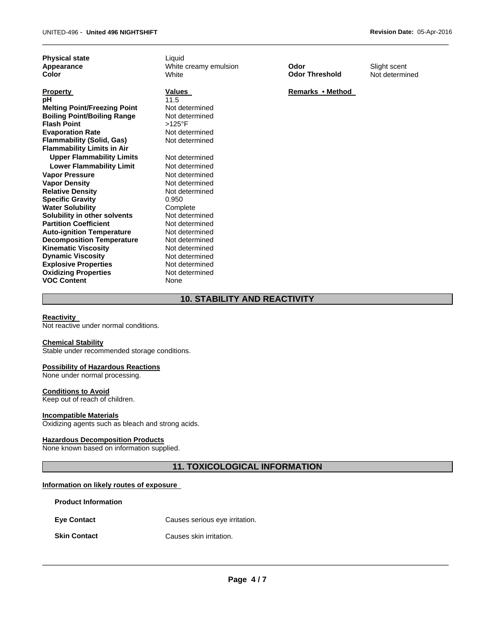**Physical state Liquid** 

**Property CONFINGUARY CONTROLLY AT A PROPERTY REMARKS • Method pH Remarks • Method pH** 11.5 **Melting Point/Freezing Point** Not determined **Boiling Point/Boiling Range** Not determined **Flash Point** >125°F **Evaporation Rate Not determined Flammability (Solid, Gas)** Not determined **Flammability Limits in Air Upper Flammability Limits** Not determined **Lower Flammability Limit** Not determined **Vapor Pressure Not determined Vapor Density Not determined Relative Density Specific Gravity Water Solubility <br>
Solubility in other solvents** Mot determined **Solubility in other solvents Not determined**<br> **Partition Coefficient Not determined Partition Coefficient Not determined**<br> **Auto-ignition Temperature** Not determined **Auto-ignition Temperature Decomposition Temperature** Not determined **Kinematic Viscosity Not determined Dynamic Viscosity**<br> **Explosive Properties**<br>
Not determined **Explosive Properties Oxidizing Properties VOC Content** 

**Appearance Constructs White creamy emulsion Odor Color Slight scent**<br> **Color Color Color Color Threshold** Not determinently and the White **Color** White **Odor Threshold** Not determined

 $\Box$ 

Not determined 0.950 Not determined None

# **10. STABILITY AND REACTIVITY**

#### **Reactivity**

Not reactive under normal conditions.

#### **Chemical Stability**

Stable under recommended storage conditions.

#### **Possibility of Hazardous Reactions**

None under normal processing.

#### **Conditions to Avoid**

Keep out of reach of children.

#### **Incompatible Materials**

Oxidizing agents such as bleach and strong acids.

### **Hazardous Decomposition Products**

None known based on information supplied.

# **11. TOXICOLOGICAL INFORMATION**

#### **Information on likely routes of exposure**

| <b>Product Information</b> |                                |
|----------------------------|--------------------------------|
| <b>Eve Contact</b>         | Causes serious eye irritation. |
| <b>Skin Contact</b>        | Causes skin irritation.        |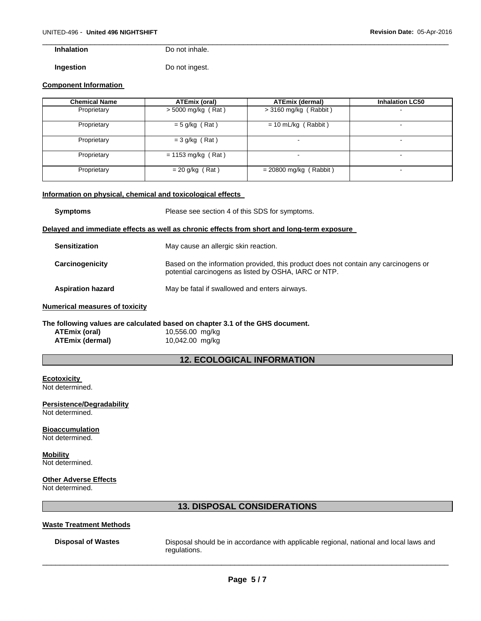**Inhalation** Do not inhale.

**Ingestion Do not ingest.** 

#### **Component Information**

| <b>Chemical Name</b> | ATEmix (oral)                | <b>ATEmix (dermal)</b>   | <b>Inhalation LC50</b> |
|----------------------|------------------------------|--------------------------|------------------------|
| Proprietary          | $>$ 5000 mg/kg (Rat)         | > 3160 mg/kg (Rabbit)    | $\blacksquare$         |
| Proprietary          | $= 5$ g/kg (Rat)             | $= 10$ mL/kg (Rabbit)    | $\blacksquare$         |
| Proprietary          | $=$ 3 g/kg (Rat)             |                          | $\blacksquare$         |
| Proprietary          | $= 1153 \text{ mg/kg}$ (Rat) |                          |                        |
| Proprietary          | $= 20$ g/kg (Rat)            | $= 20800$ mg/kg (Rabbit) | $\blacksquare$         |

 $\Box$ 

# **Information on physical, chemical and toxicological effects**

| <b>Symptoms</b>                                                                            | Please see section 4 of this SDS for symptoms.                                                                                               |  |
|--------------------------------------------------------------------------------------------|----------------------------------------------------------------------------------------------------------------------------------------------|--|
| Delayed and immediate effects as well as chronic effects from short and long-term exposure |                                                                                                                                              |  |
| <b>Sensitization</b>                                                                       | May cause an allergic skin reaction.                                                                                                         |  |
| Carcinogenicity                                                                            | Based on the information provided, this product does not contain any carcinogens or<br>potential carcinogens as listed by OSHA, IARC or NTP. |  |
| <b>Aspiration hazard</b>                                                                   | May be fatal if swallowed and enters airways.                                                                                                |  |
| <b>Numerical measures of toxicity</b>                                                      |                                                                                                                                              |  |

#### **The following values are calculated based on chapter 3.1 of the GHS document. ATEmix (oral)** 10,556.00 mg/kg **ATEmix (dermal)** 10,042.00 mg/kg

# **12. ECOLOGICAL INFORMATION**

# **Ecotoxicity**

Not determined.

**Persistence/Degradability**  Not determined.

#### **Bioaccumulation**  Not determined.

# **Mobility**

Not determined.

### **Other Adverse Effects**

Not determined.

# **13. DISPOSAL CONSIDERATIONS**

#### **Waste Treatment Methods**

**Disposal of Wastes** Disposal should be in accordance with applicable regional, national and local laws and regulations.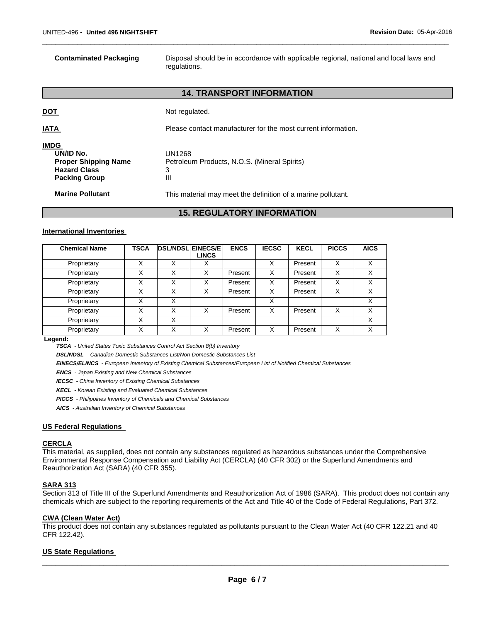**Contaminated Packaging** Disposal should be in accordance with applicable regional, national and local laws and regulations.

# **14. TRANSPORT INFORMATION**

 $\Box$ 

|                                                                                                        | <b>15. REGULATORY INFORMATION</b>                                |
|--------------------------------------------------------------------------------------------------------|------------------------------------------------------------------|
| <b>Marine Pollutant</b>                                                                                | This material may meet the definition of a marine pollutant.     |
| <b>IMDG</b><br>UN/ID No.<br><b>Proper Shipping Name</b><br><b>Hazard Class</b><br><b>Packing Group</b> | UN1268<br>Petroleum Products, N.O.S. (Mineral Spirits)<br>3<br>Ш |
| <b>IATA</b>                                                                                            | Please contact manufacturer for the most current information.    |
| <b>DOT</b>                                                                                             | Not regulated.                                                   |

#### **International Inventories**

| <b>Chemical Name</b> | <b>TSCA</b> |   | <b>DSL/NDSL EINECS/E</b><br><b>LINCS</b> | <b>ENCS</b> | <b>IECSC</b> | <b>KECL</b> | <b>PICCS</b> | <b>AICS</b> |
|----------------------|-------------|---|------------------------------------------|-------------|--------------|-------------|--------------|-------------|
|                      |             |   |                                          |             |              |             |              |             |
| Proprietary          | X           | X | X                                        |             | X            | Present     | X            | X           |
| Proprietary          | X           | Χ | X                                        | Present     | X            | Present     | X            | X           |
| Proprietary          | Χ           | X | X                                        | Present     | X            | Present     | х            | X           |
| Proprietary          | X           | X | X                                        | Present     | X            | Present     | X            | X           |
| Proprietary          | Χ           | X |                                          |             | X            |             |              | X           |
| Proprietary          | Χ           | Χ | X                                        | Present     | X            | Present     | X            | X           |
| Proprietary          | Χ           | X |                                          |             |              |             |              | X           |
| Proprietary          | Χ           | X | Χ                                        | Present     | X            | Present     | X            | x           |

 **Legend:** 

 *TSCA - United States Toxic Substances Control Act Section 8(b) Inventory* 

 *DSL/NDSL - Canadian Domestic Substances List/Non-Domestic Substances List* 

 *EINECS/ELINCS - European Inventory of Existing Chemical Substances/European List of Notified Chemical Substances* 

 *ENCS - Japan Existing and New Chemical Substances* 

 *IECSC - China Inventory of Existing Chemical Substances* 

 *KECL - Korean Existing and Evaluated Chemical Substances* 

 *PICCS - Philippines Inventory of Chemicals and Chemical Substances* 

 *AICS - Australian Inventory of Chemical Substances* 

#### **US Federal Regulations**

#### **CERCLA**

This material, as supplied, does not contain any substances regulated as hazardous substances under the Comprehensive Environmental Response Compensation and Liability Act (CERCLA) (40 CFR 302) or the Superfund Amendments and Reauthorization Act (SARA) (40 CFR 355).

# **SARA 313**

Section 313 of Title III of the Superfund Amendments and Reauthorization Act of 1986 (SARA). This product does not contain any chemicals which are subject to the reporting requirements of the Act and Title 40 of the Code of Federal Regulations, Part 372.

#### **CWA (Clean Water Act)**

This product does not contain any substances regulated as pollutants pursuant to the Clean Water Act (40 CFR 122.21 and 40 CFR 122.42).

#### **US State Regulations**